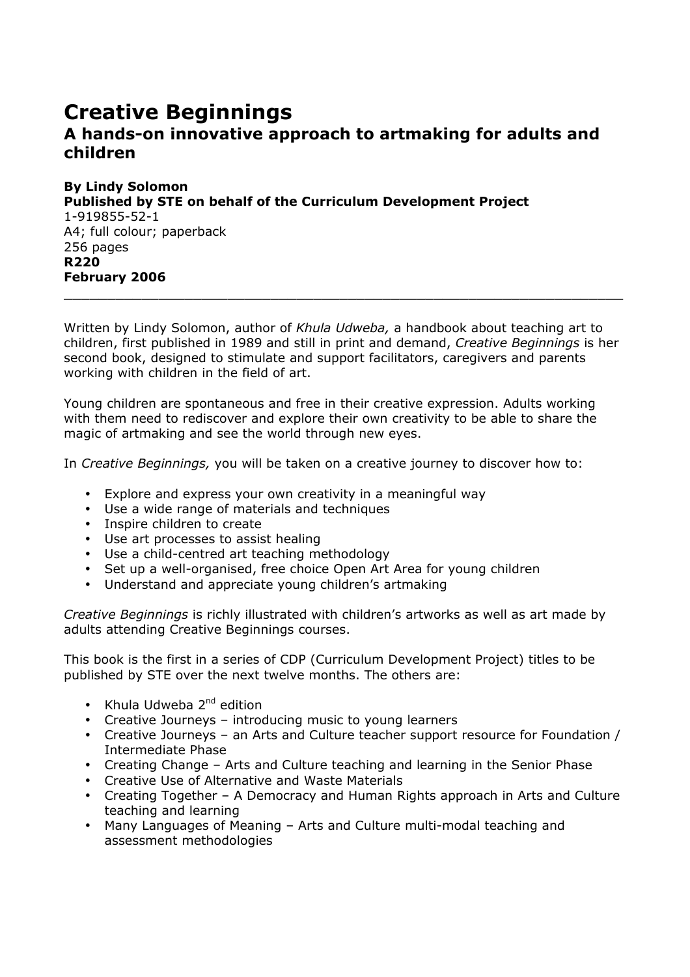## Creative Beginnings A hands-on innovative approach to artmaking for adults and children

By Lindy Solomon Published by STE on behalf of the Curriculum Development Project 1-919855-52-1 A4; full colour; paperback 256 pages R220 February 2006

Written by Lindy Solomon, author of Khula Udweba, a handbook about teaching art to children, first published in 1989 and still in print and demand, Creative Beginnings is her second book, designed to stimulate and support facilitators, caregivers and parents working with children in the field of art.

\_\_\_\_\_\_\_\_\_\_\_\_\_\_\_\_\_\_\_\_\_\_\_\_\_\_\_\_\_\_\_\_\_\_\_\_\_\_\_\_\_\_\_\_\_\_\_\_\_\_\_\_\_\_\_\_\_\_\_\_\_\_\_\_\_

Young children are spontaneous and free in their creative expression. Adults working with them need to rediscover and explore their own creativity to be able to share the magic of artmaking and see the world through new eyes.

In Creative Beginnings, you will be taken on a creative journey to discover how to:

- Explore and express your own creativity in a meaningful way
- Use a wide range of materials and techniques
- Inspire children to create
- Use art processes to assist healing
- Use a child-centred art teaching methodology
- Set up a well-organised, free choice Open Art Area for young children
- Understand and appreciate young children's artmaking

Creative Beginnings is richly illustrated with children's artworks as well as art made by adults attending Creative Beginnings courses.

This book is the first in a series of CDP (Curriculum Development Project) titles to be published by STE over the next twelve months. The others are:

- Khula Udweba  $2^{nd}$  edition
- Creative Journeys introducing music to young learners
- Creative Journeys an Arts and Culture teacher support resource for Foundation / Intermediate Phase
- Creating Change Arts and Culture teaching and learning in the Senior Phase
- Creative Use of Alternative and Waste Materials
- Creating Together A Democracy and Human Rights approach in Arts and Culture teaching and learning
- Many Languages of Meaning Arts and Culture multi-modal teaching and assessment methodologies